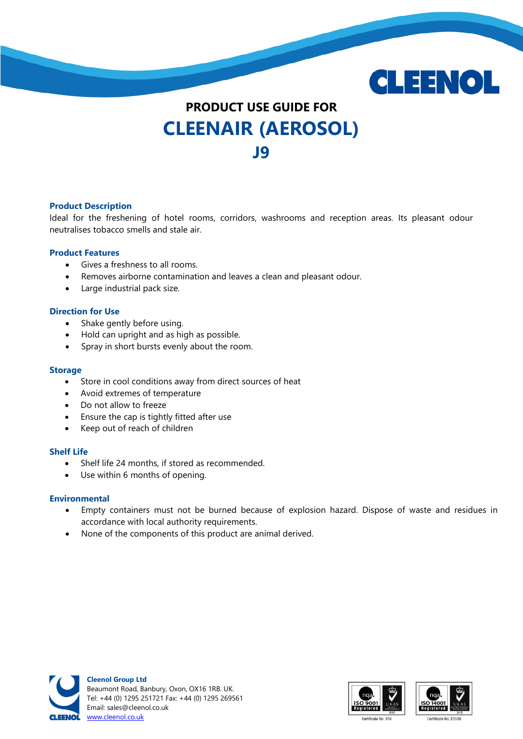

# **PRODUCT USE GUIDE FOR CLEENAIR (AEROSOL) J9**

### **Product Description**

Ideal for the freshening of hotel rooms, corridors, washrooms and reception areas. Its pleasant odour neutralises tobacco smells and stale air.

#### **Product Features**

- Gives a freshness to all rooms.
- Removes airborne contamination and leaves a clean and pleasant odour.
- Large industrial pack size.

#### **Direction for Use**

- Shake gently before using.
- Hold can upright and as high as possible.
- Spray in short bursts evenly about the room.

#### **Storage**

- Store in cool conditions away from direct sources of heat
- Avoid extremes of temperature
- Do not allow to freeze
- Ensure the cap is tightly fitted after use
- Keep out of reach of children

#### **Shelf Life**

- Shelf life 24 months, if stored as recommended.
- Use within 6 months of opening.

#### **Environmental**

- Empty containers must not be burned because of explosion hazard. Dispose of waste and residues in accordance with local authority requirements.
- None of the components of this product are animal derived.